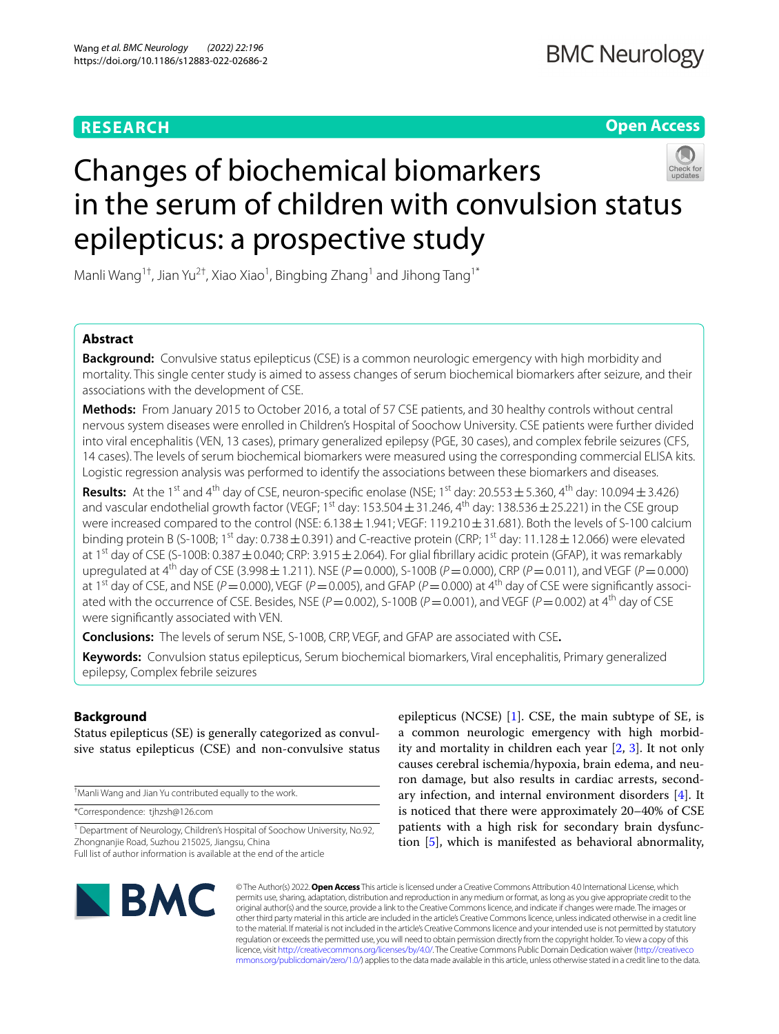# **RESEARCH**

**Open Access**

# Changes of biochemical biomarkers in the serum of children with convulsion status epilepticus: a prospective study

Manli Wang<sup>1†</sup>, Jian Yu<sup>2†</sup>, Xiao Xiao<sup>1</sup>, Bingbing Zhang<sup>1</sup> and Jihong Tang<sup>1\*</sup>

# **Abstract**

**Background:** Convulsive status epilepticus (CSE) is a common neurologic emergency with high morbidity and mortality. This single center study is aimed to assess changes of serum biochemical biomarkers after seizure, and their associations with the development of CSE.

**Methods:** From January 2015 to October 2016, a total of 57 CSE patients, and 30 healthy controls without central nervous system diseases were enrolled in Children's Hospital of Soochow University. CSE patients were further divided into viral encephalitis (VEN, 13 cases), primary generalized epilepsy (PGE, 30 cases), and complex febrile seizures (CFS, 14 cases). The levels of serum biochemical biomarkers were measured using the corresponding commercial ELISA kits. Logistic regression analysis was performed to identify the associations between these biomarkers and diseases.

**Results:** At the 1<sup>st</sup> and 4<sup>th</sup> day of CSE, neuron-specific enolase (NSE; 1<sup>st</sup> day: 20.553  $\pm$  5.360, 4<sup>th</sup> day: 10.094  $\pm$  3.426) and vascular endothelial growth factor (VEGF; 1<sup>st</sup> day: 153.504  $\pm$  31.246, 4<sup>th</sup> day: 138.536  $\pm$  25.221) in the CSE group were increased compared to the control (NSE: 6.138  $\pm$  1.941; VEGF: 119.210  $\pm$  31.681). Both the levels of S-100 calcium binding protein B (S-100B; 1<sup>st</sup> day: 0.738  $\pm$  0.391) and C-reactive protein (CRP; 1<sup>st</sup> day: 11.128  $\pm$  12.066) were elevated at 1<sup>st</sup> day of CSE (S-100B: 0.387  $\pm$  0.040; CRP: 3.915  $\pm$  2.064). For glial fibrillary acidic protein (GFAP), it was remarkably upregulated at 4<sup>th</sup> day of CSE (3.998 ± 1.211). NSE ( $P = 0.000$ ), S-100B ( $P = 0.000$ ), CRP ( $P = 0.011$ ), and VEGF ( $P = 0.000$ ) at 1<sup>st</sup> day of CSE, and NSE (*P* = 0.000), VEGF (*P* = 0.005), and GFAP (*P* = 0.000) at 4<sup>th</sup> day of CSE were significantly associated with the occurrence of CSE. Besides, NSE  $(P = 0.002)$ , S-100B  $(P = 0.001)$ , and VEGF  $(P = 0.002)$  at 4<sup>th</sup> day of CSE were signifcantly associated with VEN.

**Conclusions:** The levels of serum NSE, S-100B, CRP, VEGF, and GFAP are associated with CSE**.**

**Keywords:** Convulsion status epilepticus, Serum biochemical biomarkers, Viral encephalitis, Primary generalized epilepsy, Complex febrile seizures

# **Background**

Status epilepticus (SE) is generally categorized as convulsive status epilepticus (CSE) and non-convulsive status

† Manli Wang and Jian Yu contributed equally to the work.

\*Correspondence: tjhzsh@126.com

<sup>1</sup> Department of Neurology, Children's Hospital of Soochow University, No.92, Zhongnanjie Road, Suzhou 215025, Jiangsu, China Full list of author information is available at the end of the article

epilepticus (NCSE) [[1](#page-6-0)]. CSE, the main subtype of SE, is a common neurologic emergency with high morbidity and mortality in children each year [[2,](#page-6-1) [3](#page-6-2)]. It not only causes cerebral ischemia/hypoxia, brain edema, and neuron damage, but also results in cardiac arrests, secondary infection, and internal environment disorders  $[4]$  $[4]$ . It is noticed that there were approximately 20–40% of CSE patients with a high risk for secondary brain dysfunction [\[5\]](#page-6-4), which is manifested as behavioral abnormality,



© The Author(s) 2022. **Open Access** This article is licensed under a Creative Commons Attribution 4.0 International License, which permits use, sharing, adaptation, distribution and reproduction in any medium or format, as long as you give appropriate credit to the original author(s) and the source, provide a link to the Creative Commons licence, and indicate if changes were made. The images or other third party material in this article are included in the article's Creative Commons licence, unless indicated otherwise in a credit line to the material. If material is not included in the article's Creative Commons licence and your intended use is not permitted by statutory regulation or exceeds the permitted use, you will need to obtain permission directly from the copyright holder. To view a copy of this licence, visit [http://creativecommons.org/licenses/by/4.0/.](http://creativecommons.org/licenses/by/4.0/) The Creative Commons Public Domain Dedication waiver ([http://creativeco](http://creativecommons.org/publicdomain/zero/1.0/) [mmons.org/publicdomain/zero/1.0/](http://creativecommons.org/publicdomain/zero/1.0/)) applies to the data made available in this article, unless otherwise stated in a credit line to the data.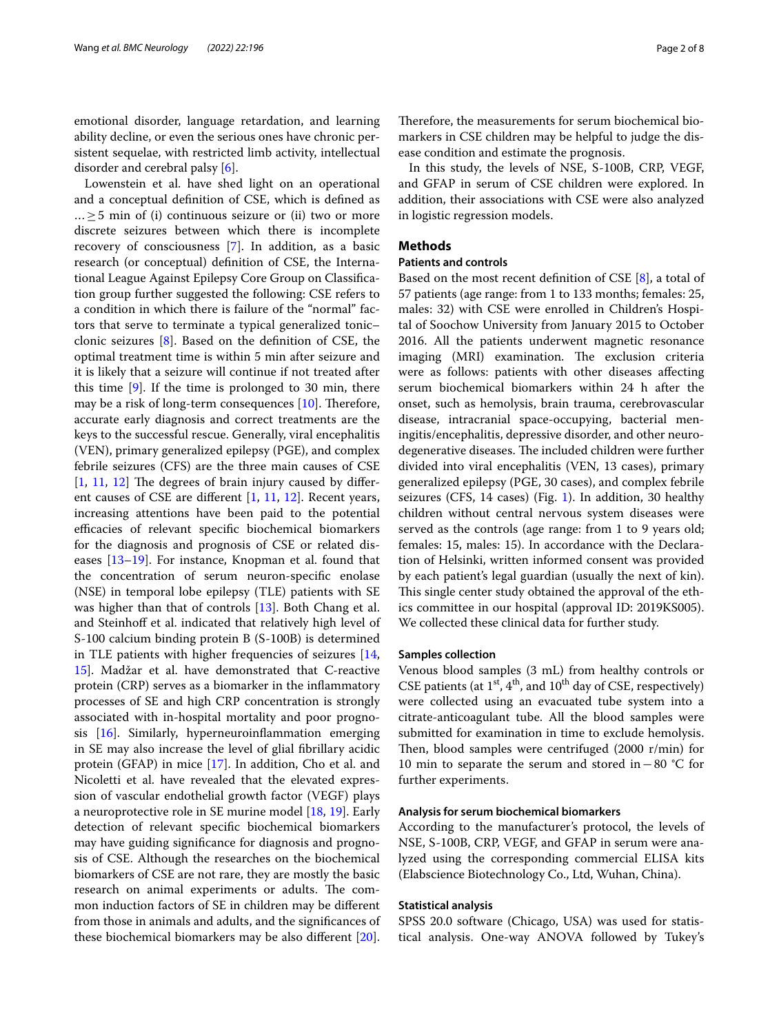emotional disorder, language retardation, and learning ability decline, or even the serious ones have chronic persistent sequelae, with restricted limb activity, intellectual disorder and cerebral palsy [[6\]](#page-6-5).

Lowenstein et al. have shed light on an operational and a conceptual defnition of CSE, which is defned as  $... \geq 5$  min of (i) continuous seizure or (ii) two or more discrete seizures between which there is incomplete recovery of consciousness [\[7](#page-6-6)]. In addition, as a basic research (or conceptual) defnition of CSE, the International League Against Epilepsy Core Group on Classifcation group further suggested the following: CSE refers to a condition in which there is failure of the "normal" factors that serve to terminate a typical generalized tonic– clonic seizures [[8\]](#page-6-7). Based on the defnition of CSE, the optimal treatment time is within 5 min after seizure and it is likely that a seizure will continue if not treated after this time [\[9](#page-6-8)]. If the time is prolonged to 30 min, there may be a risk of long-term consequences  $[10]$  $[10]$ . Therefore, accurate early diagnosis and correct treatments are the keys to the successful rescue. Generally, viral encephalitis (VEN), primary generalized epilepsy (PGE), and complex febrile seizures (CFS) are the three main causes of CSE  $[1, 11, 12]$  $[1, 11, 12]$  $[1, 11, 12]$  $[1, 11, 12]$  $[1, 11, 12]$  $[1, 11, 12]$  The degrees of brain injury caused by different causes of CSE are diferent [[1](#page-6-0), [11,](#page-6-10) [12](#page-6-11)]. Recent years, increasing attentions have been paid to the potential efficacies of relevant specific biochemical biomarkers for the diagnosis and prognosis of CSE or related diseases [[13–](#page-6-12)[19\]](#page-7-0). For instance, Knopman et al. found that the concentration of serum neuron-specifc enolase (NSE) in temporal lobe epilepsy (TLE) patients with SE was higher than that of controls [\[13\]](#page-6-12). Both Chang et al. and Steinhoff et al. indicated that relatively high level of S-100 calcium binding protein B (S-100B) is determined in TLE patients with higher frequencies of seizures [\[14](#page-7-1), [15\]](#page-7-2). Madžar et al. have demonstrated that C-reactive protein (CRP) serves as a biomarker in the infammatory processes of SE and high CRP concentration is strongly associated with in-hospital mortality and poor prognosis  $[16]$  $[16]$  $[16]$ . Similarly, hyperneuroinflammation emerging in SE may also increase the level of glial fbrillary acidic protein (GFAP) in mice [\[17](#page-7-4)]. In addition, Cho et al. and Nicoletti et al. have revealed that the elevated expression of vascular endothelial growth factor (VEGF) plays a neuroprotective role in SE murine model [\[18](#page-7-5), [19\]](#page-7-0). Early detection of relevant specifc biochemical biomarkers may have guiding signifcance for diagnosis and prognosis of CSE. Although the researches on the biochemical biomarkers of CSE are not rare, they are mostly the basic research on animal experiments or adults. The common induction factors of SE in children may be diferent from those in animals and adults, and the signifcances of these biochemical biomarkers may be also diferent [\[20](#page-7-6)].

Therefore, the measurements for serum biochemical biomarkers in CSE children may be helpful to judge the disease condition and estimate the prognosis.

In this study, the levels of NSE, S-100B, CRP, VEGF, and GFAP in serum of CSE children were explored. In addition, their associations with CSE were also analyzed in logistic regression models.

## **Methods**

## **Patients and controls**

Based on the most recent definition of CSE  $[8]$  $[8]$ , a total of 57 patients (age range: from 1 to 133 months; females: 25, males: 32) with CSE were enrolled in Children's Hospital of Soochow University from January 2015 to October 2016. All the patients underwent magnetic resonance imaging (MRI) examination. The exclusion criteria were as follows: patients with other diseases afecting serum biochemical biomarkers within 24 h after the onset, such as hemolysis, brain trauma, cerebrovascular disease, intracranial space-occupying, bacterial meningitis/encephalitis, depressive disorder, and other neurodegenerative diseases. The included children were further divided into viral encephalitis (VEN, 13 cases), primary generalized epilepsy (PGE, 30 cases), and complex febrile seizures (CFS, 14 cases) (Fig. [1\)](#page-2-0). In addition, 30 healthy children without central nervous system diseases were served as the controls (age range: from 1 to 9 years old; females: 15, males: 15). In accordance with the Declaration of Helsinki, written informed consent was provided by each patient's legal guardian (usually the next of kin). This single center study obtained the approval of the ethics committee in our hospital (approval ID: 2019KS005). We collected these clinical data for further study.

## **Samples collection**

Venous blood samples (3 mL) from healthy controls or CSE patients (at  $1^{st}$ ,  $4^{th}$ , and  $10^{th}$  day of CSE, respectively) were collected using an evacuated tube system into a citrate-anticoagulant tube. All the blood samples were submitted for examination in time to exclude hemolysis. Then, blood samples were centrifuged  $(2000 r/min)$  for 10 min to separate the serum and stored in−80 °C for further experiments.

## **Analysis for serum biochemical biomarkers**

According to the manufacturer's protocol, the levels of NSE, S-100B, CRP, VEGF, and GFAP in serum were analyzed using the corresponding commercial ELISA kits (Elabscience Biotechnology Co., Ltd, Wuhan, China).

## **Statistical analysis**

SPSS 20.0 software (Chicago, USA) was used for statistical analysis. One-way ANOVA followed by Tukey's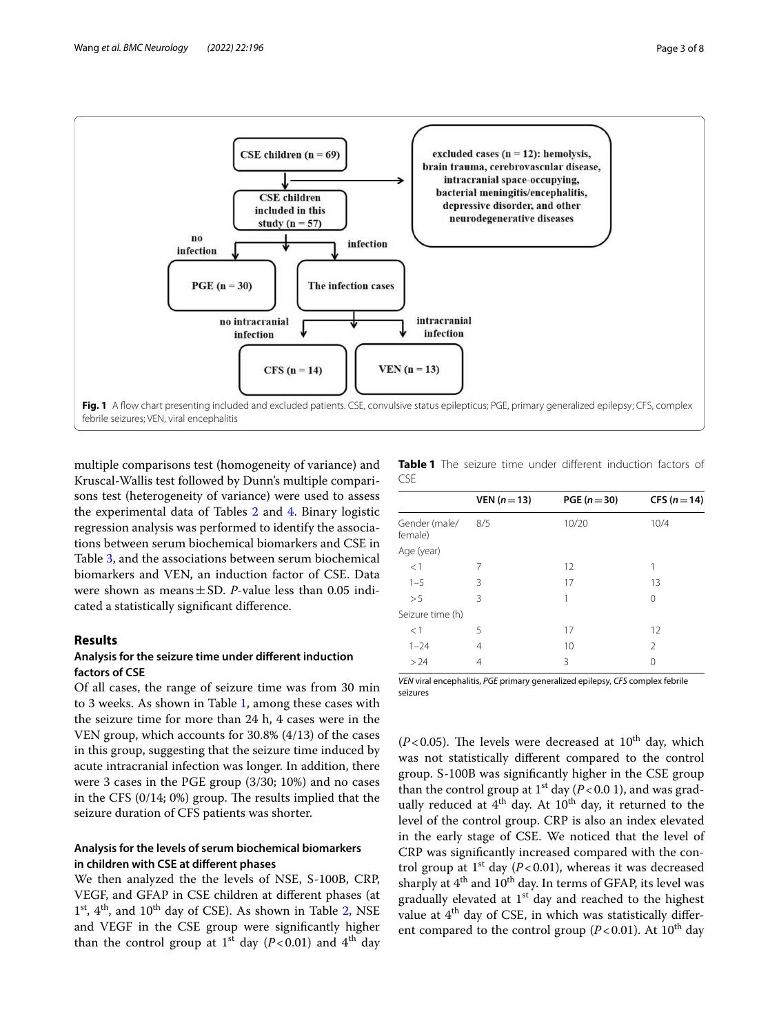

<span id="page-2-0"></span>multiple comparisons test (homogeneity of variance) and Kruscal-Wallis test followed by Dunn's multiple comparisons test (heterogeneity of variance) were used to assess the experimental data of Tables [2](#page-3-0) and [4.](#page-4-0) Binary logistic regression analysis was performed to identify the associations between serum biochemical biomarkers and CSE in Table [3](#page-3-1), and the associations between serum biochemical biomarkers and VEN, an induction factor of CSE. Data were shown as means±SD. *P*-value less than 0.05 indicated a statistically signifcant diference.

# **Results**

# **Analysis for the seizure time under diferent induction factors of CSE**

Of all cases, the range of seizure time was from 30 min to 3 weeks. As shown in Table [1,](#page-2-1) among these cases with the seizure time for more than 24 h, 4 cases were in the VEN group, which accounts for 30.8% (4/13) of the cases in this group, suggesting that the seizure time induced by acute intracranial infection was longer. In addition, there were 3 cases in the PGE group (3/30; 10%) and no cases in the CFS  $(0/14; 0%)$  group. The results implied that the seizure duration of CFS patients was shorter.

# **Analysis for the levels of serum biochemical biomarkers in children with CSE at diferent phases**

We then analyzed the the levels of NSE, S-100B, CRP, VEGF, and GFAP in CSE children at diferent phases (at  $1<sup>st</sup>$ ,  $4<sup>th</sup>$ , and  $10<sup>th</sup>$  day of CSE). As shown in Table [2,](#page-3-0) NSE and VEGF in the CSE group were signifcantly higher than the control group at 1<sup>st</sup> day ( $P < 0.01$ ) and 4<sup>th</sup> day

<span id="page-2-1"></span>**Table 1** The seizure time under diferent induction factors of CSE

|                          | VEN $(n=13)$ | PGE ( $n = 30$ ) | CFS ( $n = 14$ ) |
|--------------------------|--------------|------------------|------------------|
| Gender (male/<br>female) | 8/5          | 10/20            | 10/4             |
| Age (year)               |              |                  |                  |
| <1                       | 7            | 12               | 1                |
| $1 - 5$                  | 3            | 17               | 13               |
| > 5                      | 3            | 1                | 0                |
| Seizure time (h)         |              |                  |                  |
| <1                       | 5            | 17               | 12               |
| $1 - 24$                 | 4            | 10               | $\mathfrak{D}$   |
| > 24                     | 4            | 3                | 0                |
|                          |              |                  |                  |

*VEN* viral encephalitis, *PGE* primary generalized epilepsy, *CFS* complex febrile seizures

( $P$ <0.05). The levels were decreased at  $10^{th}$  day, which was not statistically diferent compared to the control group. S-100B was signifcantly higher in the CSE group than the control group at  $1^{st}$  day ( $P < 0.0$  1), and was gradually reduced at  $4<sup>th</sup>$  day. At  $10<sup>th</sup>$  day, it returned to the level of the control group. CRP is also an index elevated in the early stage of CSE. We noticed that the level of CRP was signifcantly increased compared with the control group at  $1<sup>st</sup>$  day ( $P < 0.01$ ), whereas it was decreased sharply at 4<sup>th</sup> and 10<sup>th</sup> day. In terms of GFAP, its level was gradually elevated at  $1<sup>st</sup>$  day and reached to the highest value at  $4<sup>th</sup>$  day of CSE, in which was statistically different compared to the control group ( $P < 0.01$ ). At 10<sup>th</sup> day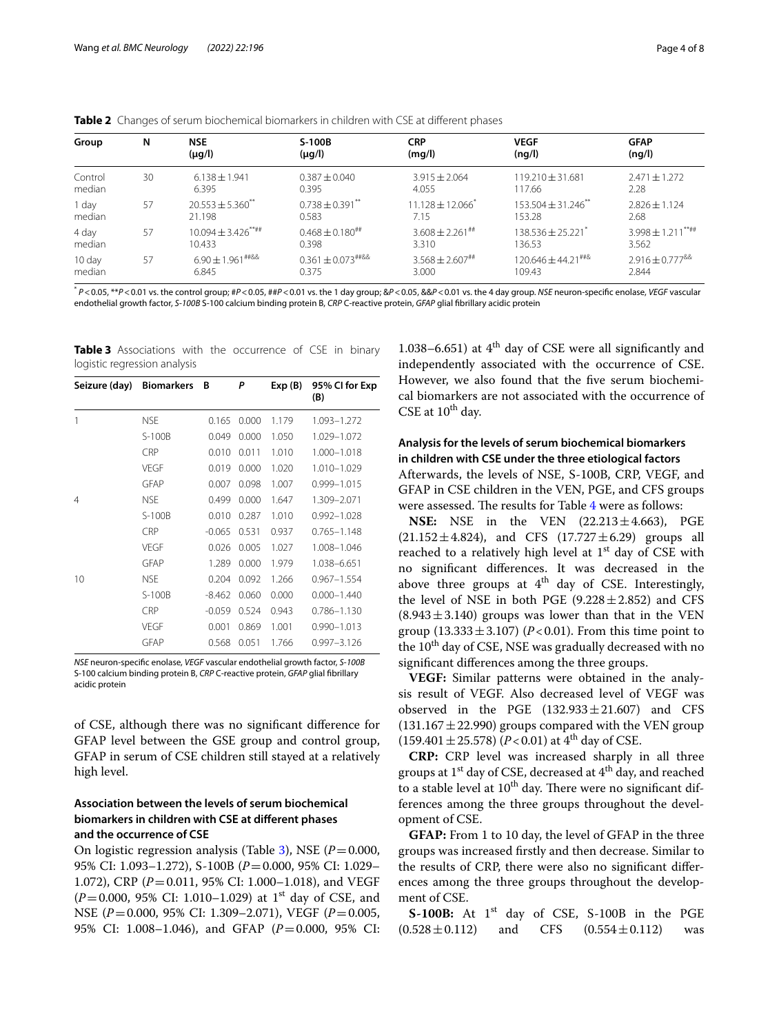<span id="page-3-0"></span>

|  |  |  | <b>Table 2</b> Changes of serum biochemical biomarkers in children with CSE at different phases |  |
|--|--|--|-------------------------------------------------------------------------------------------------|--|
|--|--|--|-------------------------------------------------------------------------------------------------|--|

| Group   | N  | <b>NSE</b><br>$(\mu g/l)$        | S-100B<br>$(\mu q/l)$   | <b>CRP</b><br>(mq/l)             | <b>VEGF</b><br>(nq/l)                | <b>GFAP</b><br>(nq/l)                   |
|---------|----|----------------------------------|-------------------------|----------------------------------|--------------------------------------|-----------------------------------------|
| Control | 30 | $6.138 \pm 1.941$                | $0.387 + 0.040$         | $3.915 \pm 2.064$                | $119.210 \pm 31.681$                 | $2.471 \pm 1.272$                       |
| median  |    | 6.395                            | 0.395                   | 4.055                            | 117.66                               | 2.28                                    |
| 1 day   | 57 | $20.553 \pm 5.360$ <sup>**</sup> | $0.738 \pm 0.391$ **    | $11.128 \pm 12.066$ <sup>*</sup> | $153.504 \pm 31.246$ <sup>**</sup>   | $2.826 \pm 1.124$                       |
| median  |    | 21.198                           | 0.583                   | 7.15                             | 153.28                               | 2.68                                    |
| 4 day   | 57 | $10.094 \pm 3.426***$            | $0.468 \pm 0.180^{***}$ | $3.608 + 2.261$ ##               | $138.536 + 25.221$ <sup>*</sup>      | $3.998 \pm 1.211***$                    |
| median  |    | 10.433                           | 0.398                   | 3.310                            | 136.53                               | 3.562                                   |
| 10 day  | 57 | $6.90 \pm 1.961$ ##&&            | $0.361 \pm 0.073$ ##&&  | $3.568 \pm 2.607$ ##             | $120.646 + 44.21$ <sup>##&amp;</sup> | $2.916 \pm 0.777$ <sup>&amp;&amp;</sup> |
| median  |    | 6.845                            | 0375                    | 3.000                            | 109.43                               | 2.844                                   |

\* *P*<0.05, \*\**P*<0.01 vs. the control group; #*P*<0.05, ##*P*<0.01 vs. the 1 day group; &*P*<0.05, &&*P*<0.01 vs. the 4 day group. *NSE* neuron-specifc enolase, *VEGF* vascular endothelial growth factor, *S-100B* S-100 calcium binding protein B, *CRP* C-reactive protein, *GFAP* glial fbrillary acidic protein

<span id="page-3-1"></span>**Table 3** Associations with the occurrence of CSE in binary logistic regression analysis

| Seizure (day)  | <b>Biomarkers</b> | В        | P     | Exp(B) | 95% CI for Exp<br>(B) |
|----------------|-------------------|----------|-------|--------|-----------------------|
| 1              | <b>NSE</b>        | 0.165    | 0.000 | 1.179  | 1.093-1.272           |
|                | S-100B            | 0.049    | 0.000 | 1.050  | 1.029-1.072           |
|                | <b>CRP</b>        | 0.010    | 0.011 | 1.010  | 1.000-1.018           |
|                | VEGF              | 0.019    | 0.000 | 1.020  | 1.010-1.029           |
|                | <b>GFAP</b>       | 0.007    | 0.098 | 1.007  | 0.999-1.015           |
| $\overline{4}$ | <b>NSE</b>        | 0.499    | 0.000 | 1.647  | 1.309-2.071           |
|                | S-100B            | 0.010    | 0.287 | 1.010  | 0.992-1.028           |
|                | <b>CRP</b>        | $-0.065$ | 0.531 | 0.937  | $0.765 - 1.148$       |
|                | VFGF              | 0.026    | 0.005 | 1.027  | 1.008-1.046           |
|                | GFAP              | 1.289    | 0.000 | 1.979  | 1.038-6.651           |
| 10             | <b>NSE</b>        | 0.204    | 0.092 | 1.266  | $0.967 - 1.554$       |
|                | $S-100B$          | $-8.462$ | 0.060 | 0.000  | $0.000 - 1.440$       |
|                | <b>CRP</b>        | $-0.059$ | 0.524 | 0.943  | 0.786-1.130           |
|                | VEGF              | 0.001    | 0.869 | 1.001  | $0.990 - 1.013$       |
|                | <b>GFAP</b>       | 0.568    | 0.051 | 1.766  | 0.997-3.126           |

*NSE* neuron-specifc enolase, *VEGF* vascular endothelial growth factor, *S-100B* S-100 calcium binding protein B, *CRP* C-reactive protein, *GFAP* glial fbrillary acidic protein

of CSE, although there was no signifcant diference for GFAP level between the GSE group and control group, GFAP in serum of CSE children still stayed at a relatively high level.

# **Association between the levels of serum biochemical biomarkers in children with CSE at diferent phases and the occurrence of CSE**

On logistic regression analysis (Table [3](#page-3-1)), NSE (*P*=0.000, 95% CI: 1.093–1.272), S-100B (*P*=0.000, 95% CI: 1.029– 1.072), CRP (*P*=0.011, 95% CI: 1.000–1.018), and VEGF (*P*=0.000, 95% CI: 1.010-1.029) at 1<sup>st</sup> day of CSE, and NSE (*P*=0.000, 95% CI: 1.309–2.071), VEGF (*P*=0.005, 95% CI: 1.008–1.046), and GFAP (*P*=0.000, 95% CI:

1.038–6.651) at  $4<sup>th</sup>$  day of CSE were all significantly and independently associated with the occurrence of CSE. However, we also found that the fve serum biochemical biomarkers are not associated with the occurrence of CSE at  $10^{th}$  day.

# **Analysis for the levels of serum biochemical biomarkers in children with CSE under the three etiological factors**

Afterwards, the levels of NSE, S-100B, CRP, VEGF, and GFAP in CSE children in the VEN, PGE, and CFS groups were assessed. The results for Table  $4$  were as follows:

**NSE:** NSE in the VEN (22.213±4.663), PGE  $(21.152 \pm 4.824)$ , and CFS  $(17.727 \pm 6.29)$  groups all reached to a relatively high level at  $1<sup>st</sup>$  day of CSE with no signifcant diferences. It was decreased in the above three groups at  $4<sup>th</sup>$  day of CSE. Interestingly, the level of NSE in both PGE  $(9.228 \pm 2.852)$  and CFS  $(8.943 \pm 3.140)$  groups was lower than that in the VEN group  $(13.333 \pm 3.107)$  (*P*<0.01). From this time point to the 10<sup>th</sup> day of CSE, NSE was gradually decreased with no signifcant diferences among the three groups.

**VEGF:** Similar patterns were obtained in the analysis result of VEGF. Also decreased level of VEGF was observed in the PGE  $(132.933 \pm 21.607)$  and CFS  $(131.167 \pm 22.990)$  groups compared with the VEN group  $(159.401 \pm 25.578)$   $(P<0.01)$  at 4<sup>th</sup> day of CSE.

**CRP:** CRP level was increased sharply in all three groups at  $1^{st}$  day of CSE, decreased at  $4^{th}$  day, and reached to a stable level at 10<sup>th</sup> day. There were no significant differences among the three groups throughout the development of CSE.

**GFAP:** From 1 to 10 day, the level of GFAP in the three groups was increased frstly and then decrease. Similar to the results of CRP, there were also no signifcant diferences among the three groups throughout the development of CSE.

**S-100B:** At 1<sup>st</sup> day of CSE, S-100B in the PGE  $(0.528 \pm 0.112)$  and CFS  $(0.554 \pm 0.112)$  was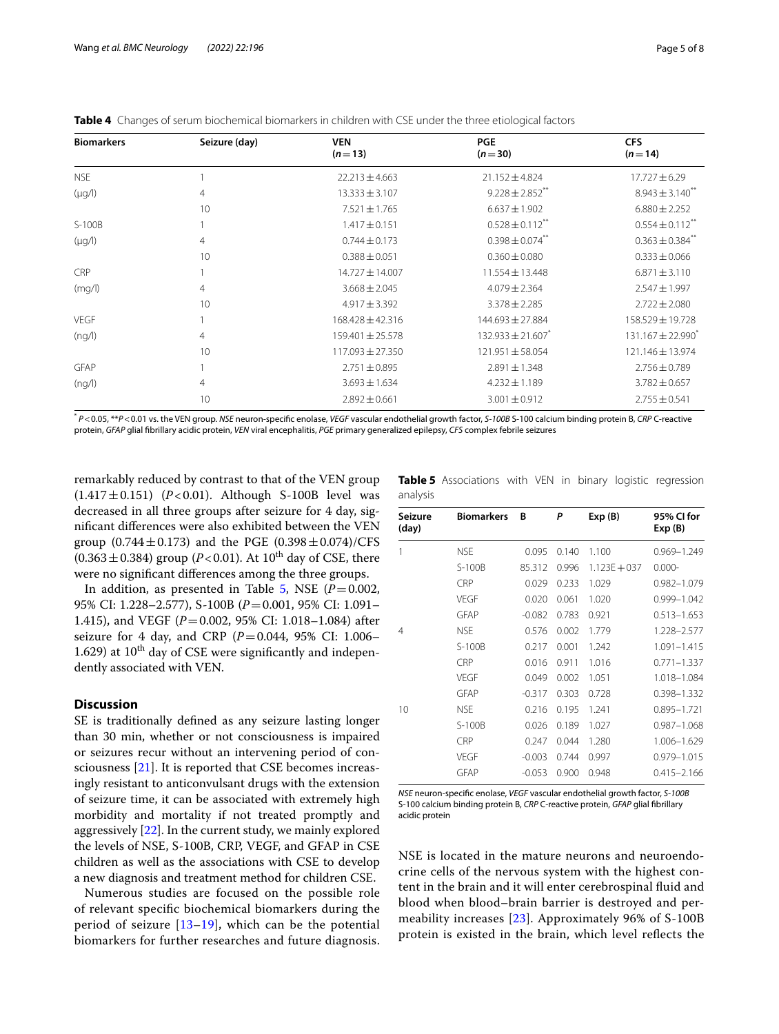| <b>Biomarkers</b> | Seizure (day)<br><b>VEN</b><br>$(n=13)$ |                      | <b>PGE</b><br>$(n=30)$            | <b>CFS</b><br>$(n=14)$          |  |
|-------------------|-----------------------------------------|----------------------|-----------------------------------|---------------------------------|--|
| <b>NSE</b>        |                                         | $22.213 \pm 4.663$   | $21.152 \pm 4.824$                | $17.727 \pm 6.29$               |  |
| $(\mu q/l)$       | 4                                       | $13.333 \pm 3.107$   | $9.228 \pm 2.852$ <sup>**</sup>   | $8.943 \pm 3.140^{**}$          |  |
|                   | 10                                      | $7.521 \pm 1.765$    | $6.637 \pm 1.902$                 | $6.880 \pm 2.252$               |  |
| $S-100B$          |                                         | $1.417 \pm 0.151$    | $0.528 \pm 0.112$ <sup>**</sup>   | $0.554 \pm 0.112$ **            |  |
| $(\mu g/l)$       | 4                                       | $0.744 \pm 0.173$    | $0.398 \pm 0.074$ **              | $0.363 \pm 0.384$ <sup>**</sup> |  |
|                   | 10                                      | $0.388 \pm 0.051$    | $0.360 \pm 0.080$                 | $0.333 \pm 0.066$               |  |
| <b>CRP</b>        |                                         | $14.727 \pm 14.007$  | $11.554 \pm 13.448$               | $6.871 \pm 3.110$               |  |
| (mq/l)            | 4                                       | $3.668 \pm 2.045$    | $4.079 \pm 2.364$                 | $2.547 \pm 1.997$               |  |
|                   | 10                                      | $4.917 \pm 3.392$    | $3.378 \pm 2.285$                 | $2.722 \pm 2.080$               |  |
| <b>VEGF</b>       |                                         | 168.428 ± 42.316     | 144.693 ± 27.884                  | 158.529 ± 19.728                |  |
| (nq/l)            | 4                                       | $159.401 \pm 25.578$ | $132.933 \pm 21.607$ <sup>*</sup> | 131.167 ± 22.990 <sup>*</sup>   |  |
|                   | 10                                      | 117.093 ± 27.350     | $121.951 \pm 58.054$              | 121.146 ± 13.974                |  |
| <b>GFAP</b>       |                                         | $2.751 \pm 0.895$    | $2.891 \pm 1.348$                 | $2.756 \pm 0.789$               |  |
| (nq/l)            | 4                                       | $3.693 \pm 1.634$    | $4.232 \pm 1.189$                 | $3.782 \pm 0.657$               |  |
|                   | 10                                      | $2.892 \pm 0.661$    | $3.001 \pm 0.912$                 | $2.755 \pm 0.541$               |  |

<span id="page-4-0"></span>**Table 4** Changes of serum biochemical biomarkers in children with CSE under the three etiological factors

\* *P*<0.05, \*\**P*<0.01 vs. the VEN group. *NSE* neuron-specifc enolase, *VEGF* vascular endothelial growth factor, *S-100B* S-100 calcium binding protein B, *CRP* C-reactive protein, *GFAP* glial fbrillary acidic protein, *VEN* viral encephalitis, *PGE* primary generalized epilepsy, *CFS* complex febrile seizures

remarkably reduced by contrast to that of the VEN group  $(1.417 \pm 0.151)$   $(P<0.01)$ . Although S-100B level was decreased in all three groups after seizure for 4 day, signifcant diferences were also exhibited between the VEN group  $(0.744 \pm 0.173)$  and the PGE  $(0.398 \pm 0.074)/CFS$  $(0.363 \pm 0.384)$  group (*P*<0.01). At 10<sup>th</sup> day of CSE, there were no signifcant diferences among the three groups.

In addition, as presented in Table [5,](#page-4-1) NSE  $(P=0.002,$ 95% CI: 1.228–2.577), S-100B (*P*=0.001, 95% CI: 1.091– 1.415), and VEGF (*P*=0.002, 95% CI: 1.018–1.084) after seizure for 4 day, and CRP ( $P=0.044$ , 95% CI: 1.006– 1.629) at  $10^{th}$  day of CSE were significantly and independently associated with VEN.

# **Discussion**

SE is traditionally defned as any seizure lasting longer than 30 min, whether or not consciousness is impaired or seizures recur without an intervening period of consciousness [\[21](#page-7-7)]. It is reported that CSE becomes increasingly resistant to anticonvulsant drugs with the extension of seizure time, it can be associated with extremely high morbidity and mortality if not treated promptly and aggressively [\[22](#page-7-8)]. In the current study, we mainly explored the levels of NSE, S-100B, CRP, VEGF, and GFAP in CSE children as well as the associations with CSE to develop a new diagnosis and treatment method for children CSE.

Numerous studies are focused on the possible role of relevant specifc biochemical biomarkers during the period of seizure  $[13-19]$  $[13-19]$ , which can be the potential biomarkers for further researches and future diagnosis.

<span id="page-4-1"></span>

|          | Table 5 Associations with VEN in binary logistic regression |  |  |  |
|----------|-------------------------------------------------------------|--|--|--|
| analysis |                                                             |  |  |  |

| Seizure<br>(day) | <b>Biomarkers</b> | B        | P     | Exp(B)         | 95% CI for<br>Exp(B) |
|------------------|-------------------|----------|-------|----------------|----------------------|
| 1                | <b>NSE</b>        | 0.095    | 0.140 | 1.100          | 0.969-1.249          |
|                  | $S-100B$          | 85.312   | 0.996 | $1.123E + 037$ | $0.000 -$            |
|                  | CRP               | 0.029    | 0.233 | 1.029          | 0.982-1.079          |
|                  | <b>VEGF</b>       | 0.020    | 0.061 | 1.020          | 0.999-1.042          |
|                  | GFAP              | $-0.082$ | 0.783 | 0.921          | $0.513 - 1.653$      |
| 4                | <b>NSE</b>        | 0.576    | 0.002 | 1.779          | 1.228-2.577          |
|                  | S-100B            | 0.217    | 0.001 | 1.242          | 1.091-1.415          |
|                  | <b>CRP</b>        | 0.016    | 0.911 | 1.016          | $0.771 - 1.337$      |
|                  | VFGF              | 0.049    | 0.002 | 1.051          | 1.018-1.084          |
|                  | GFAP              | $-0.317$ | 0.303 | 0.728          | 0.398-1.332          |
| 10               | <b>NSE</b>        | 0.216    | 0.195 | 1.241          | $0.895 - 1.721$      |
|                  | S-100B            | 0.026    | 0.189 | 1.027          | $0.987 - 1.068$      |
|                  | CRP               | 0.247    | 0.044 | 1.280          | 1.006-1.629          |
|                  | <b>VEGF</b>       | $-0.003$ | 0.744 | 0.997          | 0.979-1.015          |
|                  | <b>GFAP</b>       | $-0.053$ | 0.900 | 0.948          | $0.415 - 2.166$      |

*NSE* neuron-specifc enolase, *VEGF* vascular endothelial growth factor, *S-100B* S-100 calcium binding protein B, *CRP* C-reactive protein, *GFAP* glial fbrillary acidic protein

NSE is located in the mature neurons and neuroendocrine cells of the nervous system with the highest content in the brain and it will enter cerebrospinal fuid and blood when blood–brain barrier is destroyed and permeability increases [\[23](#page-7-9)]. Approximately 96% of S-100B protein is existed in the brain, which level refects the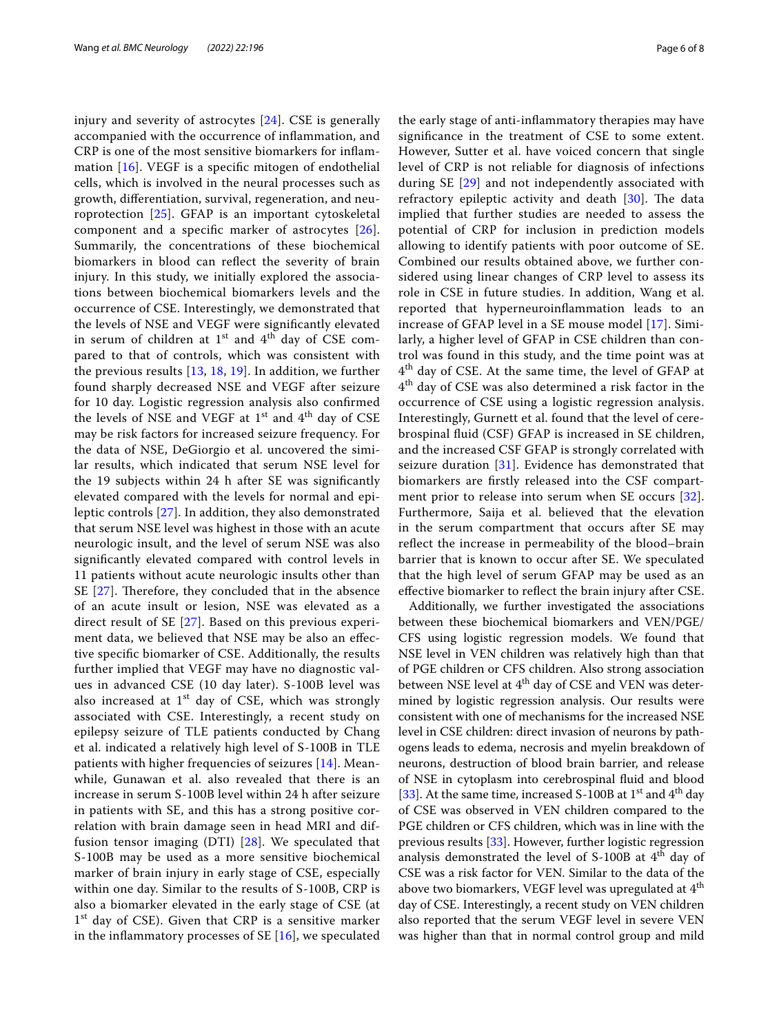injury and severity of astrocytes [[24](#page-7-10)]. CSE is generally accompanied with the occurrence of infammation, and CRP is one of the most sensitive biomarkers for infammation [\[16](#page-7-3)]. VEGF is a specifc mitogen of endothelial cells, which is involved in the neural processes such as growth, diferentiation, survival, regeneration, and neuroprotection [[25\]](#page-7-11). GFAP is an important cytoskeletal component and a specifc marker of astrocytes [[26\]](#page-7-12). Summarily, the concentrations of these biochemical biomarkers in blood can refect the severity of brain injury. In this study, we initially explored the associations between biochemical biomarkers levels and the occurrence of CSE. Interestingly, we demonstrated that the levels of NSE and VEGF were signifcantly elevated in serum of children at  $1<sup>st</sup>$  and  $4<sup>th</sup>$  day of CSE compared to that of controls, which was consistent with the previous results [[13,](#page-6-12) [18,](#page-7-5) [19](#page-7-0)]. In addition, we further found sharply decreased NSE and VEGF after seizure for 10 day. Logistic regression analysis also confrmed the levels of NSE and VEGF at  $1<sup>st</sup>$  and  $4<sup>th</sup>$  day of CSE may be risk factors for increased seizure frequency. For the data of NSE, DeGiorgio et al. uncovered the similar results, which indicated that serum NSE level for the 19 subjects within 24 h after SE was signifcantly elevated compared with the levels for normal and epileptic controls [[27\]](#page-7-13). In addition, they also demonstrated that serum NSE level was highest in those with an acute neurologic insult, and the level of serum NSE was also signifcantly elevated compared with control levels in 11 patients without acute neurologic insults other than SE  $[27]$  $[27]$ . Therefore, they concluded that in the absence of an acute insult or lesion, NSE was elevated as a direct result of SE [[27\]](#page-7-13). Based on this previous experiment data, we believed that NSE may be also an efective specifc biomarker of CSE. Additionally, the results further implied that VEGF may have no diagnostic values in advanced CSE (10 day later). S-100B level was also increased at  $1<sup>st</sup>$  day of CSE, which was strongly associated with CSE. Interestingly, a recent study on epilepsy seizure of TLE patients conducted by Chang et al. indicated a relatively high level of S-100B in TLE patients with higher frequencies of seizures [[14\]](#page-7-1). Meanwhile, Gunawan et al. also revealed that there is an increase in serum S-100B level within 24 h after seizure in patients with SE, and this has a strong positive correlation with brain damage seen in head MRI and diffusion tensor imaging (DTI) [[28](#page-7-14)]. We speculated that S-100B may be used as a more sensitive biochemical marker of brain injury in early stage of CSE, especially within one day. Similar to the results of S-100B, CRP is also a biomarker elevated in the early stage of CSE (at 1<sup>st</sup> day of CSE). Given that CRP is a sensitive marker in the inflammatory processes of SE  $[16]$  $[16]$ , we speculated the early stage of anti-infammatory therapies may have signifcance in the treatment of CSE to some extent. However, Sutter et al. have voiced concern that single level of CRP is not reliable for diagnosis of infections during SE [\[29](#page-7-15)] and not independently associated with refractory epileptic activity and death  $[30]$  $[30]$ . The data implied that further studies are needed to assess the potential of CRP for inclusion in prediction models allowing to identify patients with poor outcome of SE. Combined our results obtained above, we further considered using linear changes of CRP level to assess its role in CSE in future studies. In addition, Wang et al. reported that hyperneuroinfammation leads to an increase of GFAP level in a SE mouse model [\[17\]](#page-7-4). Similarly, a higher level of GFAP in CSE children than control was found in this study, and the time point was at 4<sup>th</sup> day of CSE. At the same time, the level of GFAP at  $4<sup>th</sup>$  day of CSE was also determined a risk factor in the occurrence of CSE using a logistic regression analysis. Interestingly, Gurnett et al. found that the level of cerebrospinal fuid (CSF) GFAP is increased in SE children, and the increased CSF GFAP is strongly correlated with seizure duration [\[31\]](#page-7-17). Evidence has demonstrated that biomarkers are frstly released into the CSF compartment prior to release into serum when SE occurs [[32](#page-7-18)]. Furthermore, Saija et al. believed that the elevation in the serum compartment that occurs after SE may refect the increase in permeability of the blood–brain barrier that is known to occur after SE. We speculated that the high level of serum GFAP may be used as an efective biomarker to refect the brain injury after CSE.

Additionally, we further investigated the associations between these biochemical biomarkers and VEN/PGE/ CFS using logistic regression models. We found that NSE level in VEN children was relatively high than that of PGE children or CFS children. Also strong association between NSE level at  $4<sup>th</sup>$  day of CSE and VEN was determined by logistic regression analysis. Our results were consistent with one of mechanisms for the increased NSE level in CSE children: direct invasion of neurons by pathogens leads to edema, necrosis and myelin breakdown of neurons, destruction of blood brain barrier, and release of NSE in cytoplasm into cerebrospinal fuid and blood [[33\]](#page-7-19). At the same time, increased S-100B at  $1<sup>st</sup>$  and  $4<sup>th</sup>$  day of CSE was observed in VEN children compared to the PGE children or CFS children, which was in line with the previous results [[33\]](#page-7-19). However, further logistic regression analysis demonstrated the level of  $S-100B$  at  $4<sup>th</sup>$  day of CSE was a risk factor for VEN. Similar to the data of the above two biomarkers, VEGF level was upregulated at 4<sup>th</sup> day of CSE. Interestingly, a recent study on VEN children also reported that the serum VEGF level in severe VEN was higher than that in normal control group and mild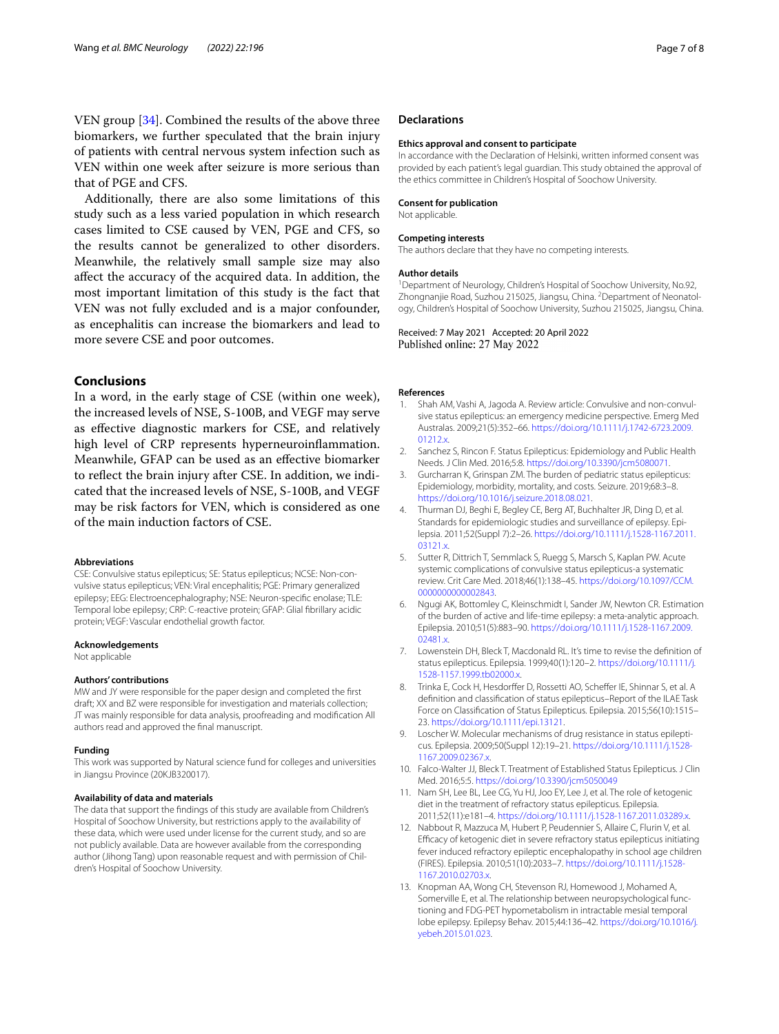VEN group [[34\]](#page-7-20). Combined the results of the above three biomarkers, we further speculated that the brain injury of patients with central nervous system infection such as VEN within one week after seizure is more serious than that of PGE and CFS.

Additionally, there are also some limitations of this study such as a less varied population in which research cases limited to CSE caused by VEN, PGE and CFS, so the results cannot be generalized to other disorders. Meanwhile, the relatively small sample size may also afect the accuracy of the acquired data. In addition, the most important limitation of this study is the fact that VEN was not fully excluded and is a major confounder, as encephalitis can increase the biomarkers and lead to more severe CSE and poor outcomes.

## **Conclusions**

In a word, in the early stage of CSE (within one week), the increased levels of NSE, S-100B, and VEGF may serve as efective diagnostic markers for CSE, and relatively high level of CRP represents hyperneuroinfammation. Meanwhile, GFAP can be used as an efective biomarker to refect the brain injury after CSE. In addition, we indicated that the increased levels of NSE, S-100B, and VEGF may be risk factors for VEN, which is considered as one of the main induction factors of CSE.

## **Abbreviations**

CSE: Convulsive status epilepticus; SE: Status epilepticus; NCSE: Non-convulsive status epilepticus; VEN: Viral encephalitis; PGE: Primary generalized epilepsy; EEG: Electroencephalography; NSE: Neuron-specifc enolase; TLE: Temporal lobe epilepsy; CRP: C-reactive protein; GFAP: Glial fbrillary acidic protein; VEGF: Vascular endothelial growth factor.

#### **Acknowledgements**

Not applicable

#### **Authors' contributions**

MW and JY were responsible for the paper design and completed the frst draft; XX and BZ were responsible for investigation and materials collection; JT was mainly responsible for data analysis, proofreading and modifcation All authors read and approved the fnal manuscript.

#### **Funding**

This work was supported by Natural science fund for colleges and universities in Jiangsu Province (20KJB320017).

#### **Availability of data and materials**

The data that support the fndings of this study are available from Children's Hospital of Soochow University, but restrictions apply to the availability of these data, which were used under license for the current study, and so are not publicly available. Data are however available from the corresponding author (Jihong Tang) upon reasonable request and with permission of Children's Hospital of Soochow University.

## **Declarations**

#### **Ethics approval and consent to participate**

In accordance with the Declaration of Helsinki, written informed consent was provided by each patient's legal guardian. This study obtained the approval of the ethics committee in Children's Hospital of Soochow University.

#### **Consent for publication**

Not applicable.

## **Competing interests**

The authors declare that they have no competing interests.

#### **Author details**

<sup>1</sup> Department of Neurology, Children's Hospital of Soochow University, No.92, Zhongnanjie Road, Suzhou 215025, Jiangsu, China. <sup>2</sup> Department of Neonatology, Children's Hospital of Soochow University, Suzhou 215025, Jiangsu, China.

Received: 7 May 2021 Accepted: 20 April 2022 Published online: 27 May 2022

#### **References**

- <span id="page-6-0"></span>1. Shah AM, Vashi A, Jagoda A. Review article: Convulsive and non-convulsive status epilepticus: an emergency medicine perspective. Emerg Med Australas. 2009;21(5):352–66. [https://doi.org/10.1111/j.1742-6723.2009.](https://doi.org/10.1111/j.1742-6723.2009.01212.x)  $01212x$
- <span id="page-6-1"></span>2. Sanchez S, Rincon F. Status Epilepticus: Epidemiology and Public Health Needs. J Clin Med. 2016;5:8. <https://doi.org/10.3390/jcm5080071>.
- <span id="page-6-2"></span>3. Gurcharran K, Grinspan ZM. The burden of pediatric status epilepticus: Epidemiology, morbidity, mortality, and costs. Seizure. 2019;68:3–8. [https://doi.org/10.1016/j.seizure.2018.08.021.](https://doi.org/10.1016/j.seizure.2018.08.021)
- <span id="page-6-3"></span>4. Thurman DJ, Beghi E, Begley CE, Berg AT, Buchhalter JR, Ding D, et al. Standards for epidemiologic studies and surveillance of epilepsy. Epilepsia. 2011;52(Suppl 7):2–26. [https://doi.org/10.1111/j.1528-1167.2011.](https://doi.org/10.1111/j.1528-1167.2011.03121.x) [03121.x.](https://doi.org/10.1111/j.1528-1167.2011.03121.x)
- <span id="page-6-4"></span>5. Sutter R, Dittrich T, Semmlack S, Ruegg S, Marsch S, Kaplan PW. Acute systemic complications of convulsive status epilepticus-a systematic review. Crit Care Med. 2018;46(1):138–45. [https://doi.org/10.1097/CCM.](https://doi.org/10.1097/CCM.0000000000002843) [0000000000002843](https://doi.org/10.1097/CCM.0000000000002843).
- <span id="page-6-5"></span>6. Ngugi AK, Bottomley C, Kleinschmidt I, Sander JW, Newton CR. Estimation of the burden of active and life-time epilepsy: a meta-analytic approach. Epilepsia. 2010;51(5):883–90. [https://doi.org/10.1111/j.1528-1167.2009.](https://doi.org/10.1111/j.1528-1167.2009.02481.x) [02481.x.](https://doi.org/10.1111/j.1528-1167.2009.02481.x)
- <span id="page-6-6"></span>7. Lowenstein DH, Bleck T, Macdonald RL. It's time to revise the defnition of status epilepticus. Epilepsia. 1999;40(1):120–2. [https://doi.org/10.1111/j.](https://doi.org/10.1111/j.1528-1157.1999.tb02000.x) [1528-1157.1999.tb02000.x.](https://doi.org/10.1111/j.1528-1157.1999.tb02000.x)
- <span id="page-6-7"></span>8. Trinka E, Cock H, Hesdorffer D, Rossetti AO, Scheffer IE, Shinnar S, et al. A defnition and classifcation of status epilepticus–Report of the ILAE Task Force on Classifcation of Status Epilepticus. Epilepsia. 2015;56(10):1515– 23. [https://doi.org/10.1111/epi.13121.](https://doi.org/10.1111/epi.13121)
- <span id="page-6-8"></span>9. Loscher W. Molecular mechanisms of drug resistance in status epilepticus. Epilepsia. 2009;50(Suppl 12):19–21. [https://doi.org/10.1111/j.1528-](https://doi.org/10.1111/j.1528-1167.2009.02367.x) [1167.2009.02367.x](https://doi.org/10.1111/j.1528-1167.2009.02367.x).
- <span id="page-6-9"></span>10. Falco-Walter JJ, Bleck T. Treatment of Established Status Epilepticus. J Clin Med. 2016;5:5. <https://doi.org/10.3390/jcm5050049>
- <span id="page-6-10"></span>11. Nam SH, Lee BL, Lee CG, Yu HJ, Joo EY, Lee J, et al. The role of ketogenic diet in the treatment of refractory status epilepticus. Epilepsia. 2011;52(11):e181–4. [https://doi.org/10.1111/j.1528-1167.2011.03289.x.](https://doi.org/10.1111/j.1528-1167.2011.03289.x)
- <span id="page-6-11"></span>12. Nabbout R, Mazzuca M, Hubert P, Peudennier S, Allaire C, Flurin V, et al. Efficacy of ketogenic diet in severe refractory status epilepticus initiating fever induced refractory epileptic encephalopathy in school age children (FIRES). Epilepsia. 2010;51(10):2033–7. [https://doi.org/10.1111/j.1528-](https://doi.org/10.1111/j.1528-1167.2010.02703.x) [1167.2010.02703.x](https://doi.org/10.1111/j.1528-1167.2010.02703.x).
- <span id="page-6-12"></span>13. Knopman AA, Wong CH, Stevenson RJ, Homewood J, Mohamed A, Somerville E, et al. The relationship between neuropsychological functioning and FDG-PET hypometabolism in intractable mesial temporal lobe epilepsy. Epilepsy Behav. 2015;44:136–42. [https://doi.org/10.1016/j.](https://doi.org/10.1016/j.yebeh.2015.01.023) [yebeh.2015.01.023](https://doi.org/10.1016/j.yebeh.2015.01.023).